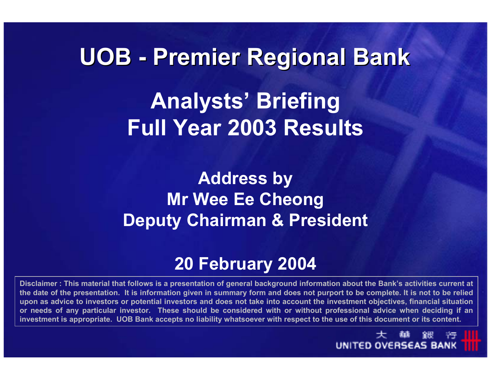# **UOB - Premier Regional Bank Premier Regional Bank Analysts' Briefing Full Year 2003 Results**

# **Address by Mr Wee Ee Cheong Deputy Chairman & President**

# **20 February 2004**

**Disclaimer : This material that follows is a presentation of general background information about the Bank's activities current at the date of the presentation. It is information given in summary form and does not purport to be complete. It is not to be relied upon as advice to investors or potential investors and does not take into account the investment objectives, financial situation or needs of any particular investor. These should be considered with or without professional advice when deciding if an investment is appropriate. UOB Bank accepts no liability whatsoever with respect to the use of this document or its content.**

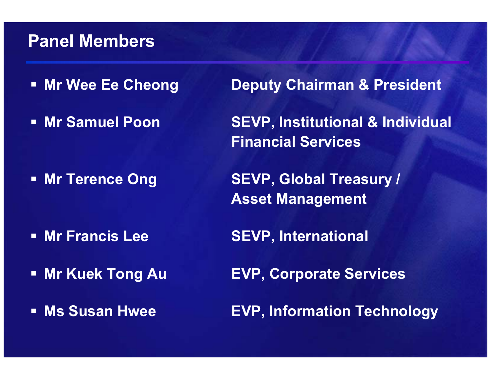#### **Panel Members**

- **Mr Wee Ee Cheong**
- **Mr Samuel Poon**

**Mr Terence Ong** 

- Mr Francis Lee
- **Mr Kuek Tong Au**
- **Ms Susan Hwee**

**Deputy Chairman & President** 

**SEVP, Institutional & Individual Financial Services**

**SEVP, Global Treasury / Asset Management**

**Mr Francis Lee SEVP, International**

**Mr Kuek Tong Au EVP, Corporate Services**

**Ms Susan Hwee EVP, Information Technology**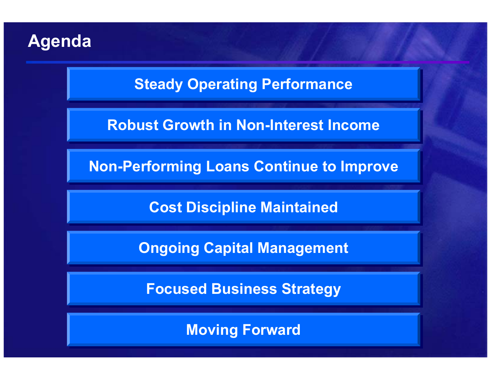# **Agenda**

**Steady Operating Performance** 

**Robust Growth in Non-Interest Income Robust Growth in Non-Interest Income**

**Non-Performing Loans Continue to Improve** 

**Cost Discipline Maintained Cost Discipline Maintained**

**Ongoing Capital Management** 

**Focused Business Strategy Focused Business Strategy**

**Moving Forward Moving Forward**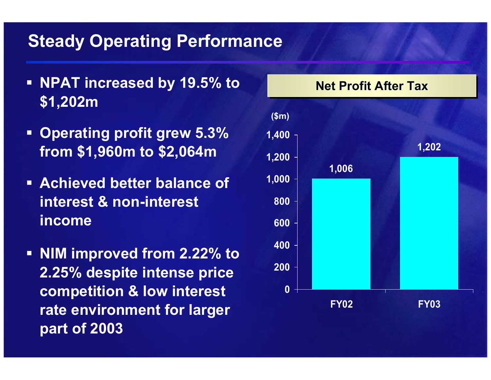# **Steady Operating Performance**

- **NPAT increased by 19.5% to \$1,202m**
- **Operating profit grew 5.3% from \$1,960m to \$2,064m**
- **Achieved better balance of interest & non-interest income**
- **NIM improved from 2.22% to 2.25% despite intense price competition & low interest rate environment for larger part of 2003**

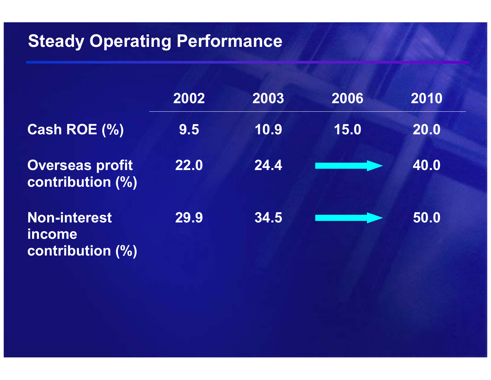# **Steady Operating Performance**

|                                                          | 2002 | 2003 | 2006 | 2010 |
|----------------------------------------------------------|------|------|------|------|
| <b>Cash ROE (%)</b>                                      | 9.5  | 10.9 | 15.0 | 20.0 |
| <b>Overseas profit</b><br>contribution (%)               | 22.0 | 24.4 |      | 40.0 |
| <b>Non-interest</b><br><i>income</i><br>contribution (%) | 29.9 | 34.5 |      | 50.0 |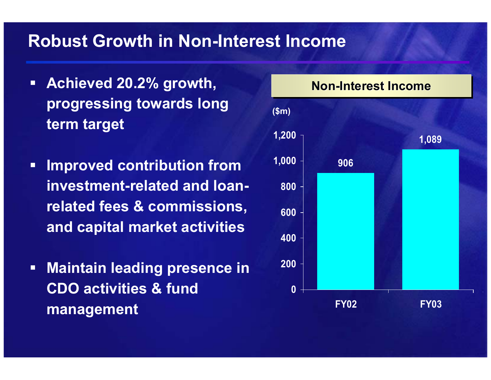#### **Robust Growth in Non-Interest Income**

- $\blacksquare$  **Achieved 20.2% growth, progressing towards long term target**
- $\Box$  **Improved contribution from investment-related and loanrelated fees & commissions, and capital market activities**
- $\blacksquare$  **Maintain leading presence in CDO activities & fund management**

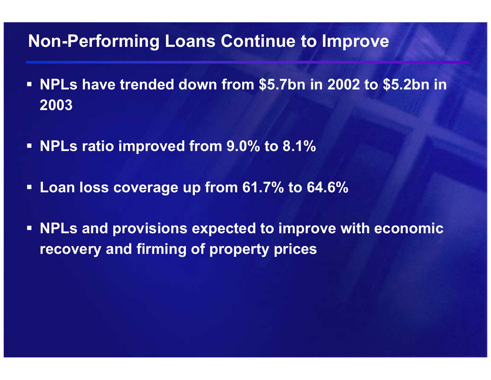# **Non-Performing Loans Continue to Improve**

- **NPLs have trended down from \$5.7bn in 2002 to \$5.2bn in 2003**
- **NPLs ratio improved from 9.0% to 8.1%**
- **Loan loss coverage up from 61.7% to 64.6%**
- $\blacksquare$  **NPLs and provisions expected to improve with economic recovery and firming of property prices**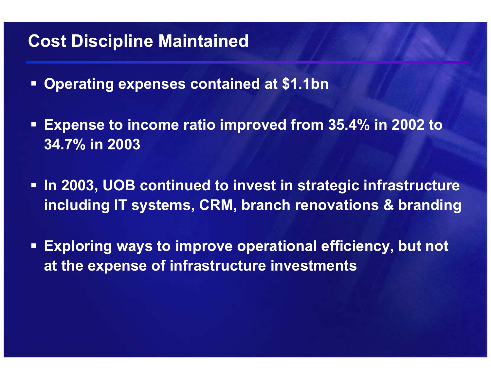# **Cost Discipline Maintained**

- **Operating expenses contained at \$1.1bn**
- **Expense to income ratio improved from 35.4% in 2002 to 34.7% in 2003**
- **In 2003, UOB continued to invest in strategic infrastructure including IT systems, CRM, branch renovations & branding**
- **Exploring ways to improve operational efficiency, but not at the expense of infrastructure investments**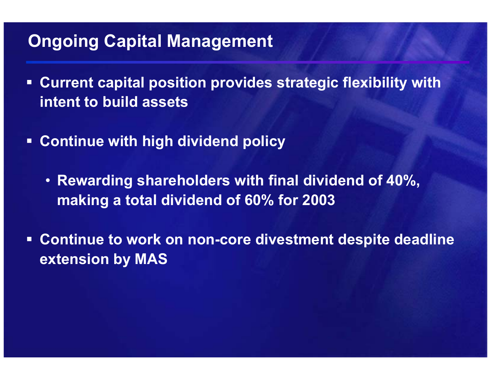# **Ongoing Capital Management**

- $\Box$  **Current capital position provides strategic flexibility with intent to build assets**
- **Continue with high dividend policy**
	- **Rewarding shareholders with final dividend of 40%, making a total dividend of 60% for 2003**
- $\Box$  **Continue to work on non-core divestment despite deadline extension by MAS**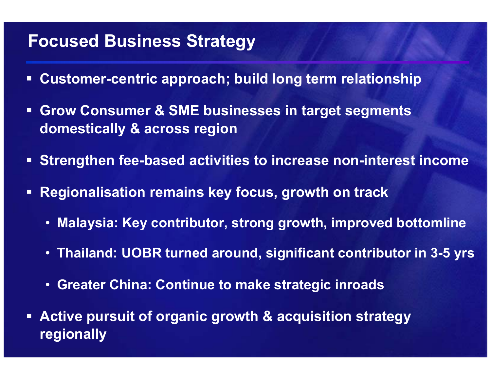# **Focused Business Strategy**

- $\Box$ **Customer-centric approach; build long term relationship**
- $\blacksquare$  **Grow Consumer & SME businesses in target segments domestically & across region**
- **Strengthen fee-based activities to increase non-interest income**
- $\Box$  **Regionalisation remains key focus, growth on track**
	- **Malaysia: Key contributor, strong growth, improved bottomline**
	- **Thailand: UOBR turned around, significant contributor in 3-5 yrs**
	- **Greater China: Continue to make strategic inroads**
- **Active pursuit of organic growth & acquisition strategy regionally**